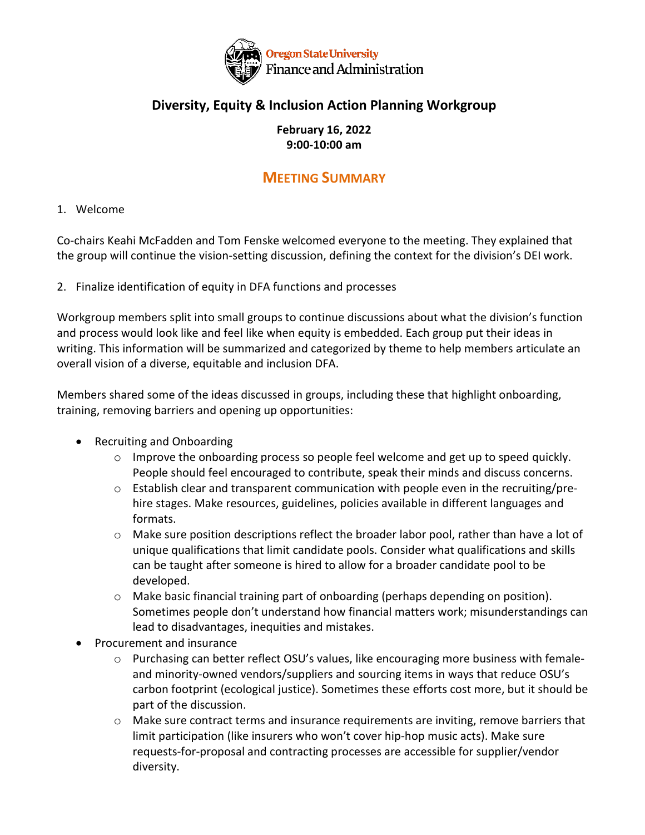

## **Diversity, Equity & Inclusion Action Planning Workgroup**

### **February 16, 2022 9:00-10:00 am**

# **MEETING SUMMARY**

### 1. Welcome

Co-chairs Keahi McFadden and Tom Fenske welcomed everyone to the meeting. They explained that the group will continue the vision-setting discussion, defining the context for the division's DEI work.

2. Finalize identification of equity in DFA functions and processes

Workgroup members split into small groups to continue discussions about what the division's function and process would look like and feel like when equity is embedded. Each group put their ideas in writing. This information will be summarized and categorized by theme to help members articulate an overall vision of a diverse, equitable and inclusion DFA.

Members shared some of the ideas discussed in groups, including these that highlight onboarding, training, removing barriers and opening up opportunities:

- Recruiting and Onboarding
	- o Improve the onboarding process so people feel welcome and get up to speed quickly. People should feel encouraged to contribute, speak their minds and discuss concerns.
	- $\circ$  Establish clear and transparent communication with people even in the recruiting/prehire stages. Make resources, guidelines, policies available in different languages and formats.
	- $\circ$  Make sure position descriptions reflect the broader labor pool, rather than have a lot of unique qualifications that limit candidate pools. Consider what qualifications and skills can be taught after someone is hired to allow for a broader candidate pool to be developed.
	- $\circ$  Make basic financial training part of onboarding (perhaps depending on position). Sometimes people don't understand how financial matters work; misunderstandings can lead to disadvantages, inequities and mistakes.
- Procurement and insurance
	- $\circ$  Purchasing can better reflect OSU's values, like encouraging more business with femaleand minority-owned vendors/suppliers and sourcing items in ways that reduce OSU's carbon footprint (ecological justice). Sometimes these efforts cost more, but it should be part of the discussion.
	- $\circ$  Make sure contract terms and insurance requirements are inviting, remove barriers that limit participation (like insurers who won't cover hip-hop music acts). Make sure requests-for-proposal and contracting processes are accessible for supplier/vendor diversity.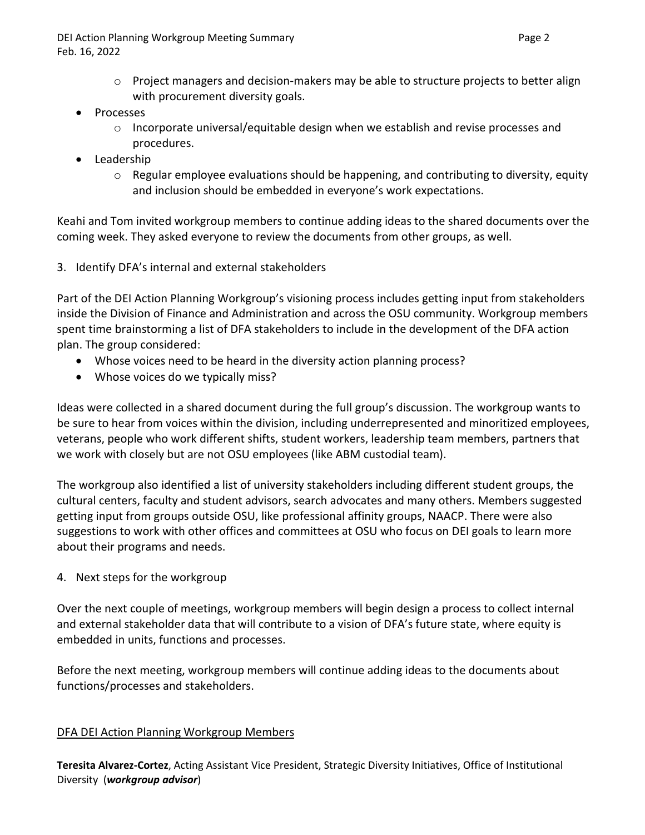DEI Action Planning Workgroup Meeting Summary **Page 2** and the state of the Page 2 Feb. 16, 2022

- $\circ$  Project managers and decision-makers may be able to structure projects to better align with procurement diversity goals.
- Processes
	- $\circ$  Incorporate universal/equitable design when we establish and revise processes and procedures.
- Leadership
	- $\circ$  Regular employee evaluations should be happening, and contributing to diversity, equity and inclusion should be embedded in everyone's work expectations.

Keahi and Tom invited workgroup members to continue adding ideas to the shared documents over the coming week. They asked everyone to review the documents from other groups, as well.

3. Identify DFA's internal and external stakeholders

Part of the DEI Action Planning Workgroup's visioning process includes getting input from stakeholders inside the Division of Finance and Administration and across the OSU community. Workgroup members spent time brainstorming a list of DFA stakeholders to include in the development of the DFA action plan. The group considered:

- Whose voices need to be heard in the diversity action planning process?
- Whose voices do we typically miss?

Ideas were collected in a shared document during the full group's discussion. The workgroup wants to be sure to hear from voices within the division, including underrepresented and minoritized employees, veterans, people who work different shifts, student workers, leadership team members, partners that we work with closely but are not OSU employees (like ABM custodial team).

The workgroup also identified a list of university stakeholders including different student groups, the cultural centers, faculty and student advisors, search advocates and many others. Members suggested getting input from groups outside OSU, like professional affinity groups, NAACP. There were also suggestions to work with other offices and committees at OSU who focus on DEI goals to learn more about their programs and needs.

4. Next steps for the workgroup

Over the next couple of meetings, workgroup members will begin design a process to collect internal and external stakeholder data that will contribute to a vision of DFA's future state, where equity is embedded in units, functions and processes.

Before the next meeting, workgroup members will continue adding ideas to the documents about functions/processes and stakeholders.

#### DFA DEI Action Planning Workgroup Members

**Teresita Alvarez-Cortez**, Acting Assistant Vice President, Strategic Diversity Initiatives, Office of Institutional Diversity (*workgroup advisor*)